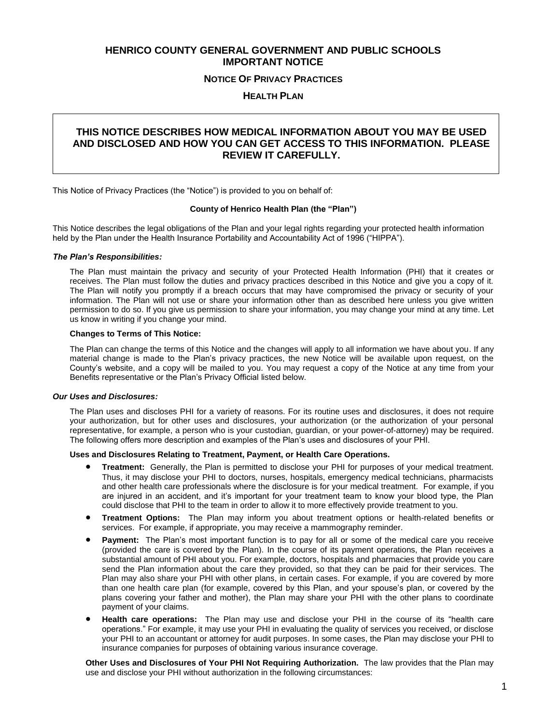# **HENRICO COUNTY GENERAL GOVERNMENT AND PUBLIC SCHOOLS IMPORTANT NOTICE**

## **NOTICE OF PRIVACY PRACTICES**

## **HEALTH PLAN**

# **THIS NOTICE DESCRIBES HOW MEDICAL INFORMATION ABOUT YOU MAY BE USED AND DISCLOSED AND HOW YOU CAN GET ACCESS TO THIS INFORMATION. PLEASE REVIEW IT CAREFULLY.**

This Notice of Privacy Practices (the "Notice") is provided to you on behalf of:

## **County of Henrico Health Plan (the "Plan")**

This Notice describes the legal obligations of the Plan and your legal rights regarding your protected health information held by the Plan under the Health Insurance Portability and Accountability Act of 1996 ("HIPPA").

#### *The Plan's Responsibilities:*

The Plan must maintain the privacy and security of your Protected Health Information (PHI) that it creates or receives. The Plan must follow the duties and privacy practices described in this Notice and give you a copy of it. The Plan will notify you promptly if a breach occurs that may have compromised the privacy or security of your information. The Plan will not use or share your information other than as described here unless you give written permission to do so. If you give us permission to share your information, you may change your mind at any time. Let us know in writing if you change your mind.

#### **Changes to Terms of This Notice:**

The Plan can change the terms of this Notice and the changes will apply to all information we have about you. If any material change is made to the Plan's privacy practices, the new Notice will be available upon request, on the County's website, and a copy will be mailed to you. You may request a copy of the Notice at any time from your Benefits representative or the Plan's Privacy Official listed below.

#### *Our Uses and Disclosures:*

The Plan uses and discloses PHI for a variety of reasons. For its routine uses and disclosures, it does not require your authorization, but for other uses and disclosures, your authorization (or the authorization of your personal representative, for example, a person who is your custodian, guardian, or your power-of-attorney) may be required. The following offers more description and examples of the Plan's uses and disclosures of your PHI.

#### **Uses and Disclosures Relating to Treatment, Payment, or Health Care Operations.**

- **Treatment:** Generally, the Plan is permitted to disclose your PHI for purposes of your medical treatment. Thus, it may disclose your PHI to doctors, nurses, hospitals, emergency medical technicians, pharmacists and other health care professionals where the disclosure is for your medical treatment. For example, if you are injured in an accident, and it's important for your treatment team to know your blood type, the Plan could disclose that PHI to the team in order to allow it to more effectively provide treatment to you.
- **Treatment Options:** The Plan may inform you about treatment options or health-related benefits or services. For example, if appropriate, you may receive a mammography reminder.
- **Payment:** The Plan's most important function is to pay for all or some of the medical care you receive (provided the care is covered by the Plan). In the course of its payment operations, the Plan receives a substantial amount of PHI about you. For example, doctors, hospitals and pharmacies that provide you care send the Plan information about the care they provided, so that they can be paid for their services. The Plan may also share your PHI with other plans, in certain cases. For example, if you are covered by more than one health care plan (for example, covered by this Plan, and your spouse's plan, or covered by the plans covering your father and mother), the Plan may share your PHI with the other plans to coordinate payment of your claims.
- **Health care operations:** The Plan may use and disclose your PHI in the course of its "health care operations." For example, it may use your PHI in evaluating the quality of services you received, or disclose your PHI to an accountant or attorney for audit purposes. In some cases, the Plan may disclose your PHI to insurance companies for purposes of obtaining various insurance coverage.

**Other Uses and Disclosures of Your PHI Not Requiring Authorization.** The law provides that the Plan may use and disclose your PHI without authorization in the following circumstances: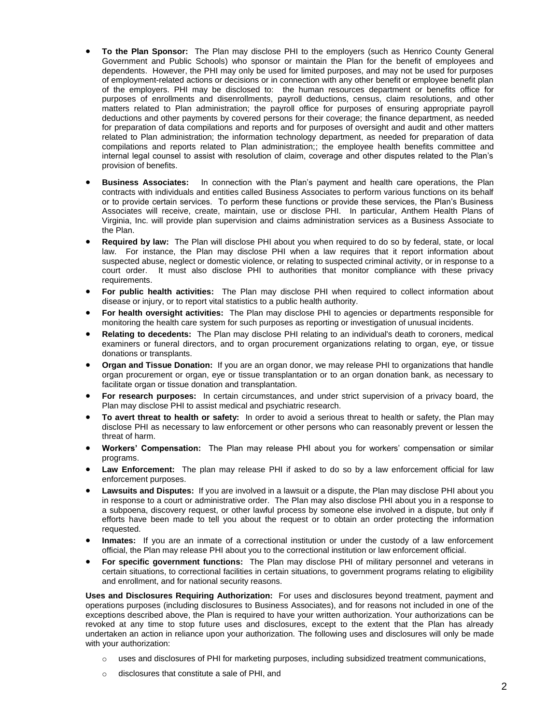- **To the Plan Sponsor:** The Plan may disclose PHI to the employers (such as Henrico County General Government and Public Schools) who sponsor or maintain the Plan for the benefit of employees and dependents. However, the PHI may only be used for limited purposes, and may not be used for purposes of employment-related actions or decisions or in connection with any other benefit or employee benefit plan of the employers. PHI may be disclosed to: the human resources department or benefits office for purposes of enrollments and disenrollments, payroll deductions, census, claim resolutions, and other matters related to Plan administration; the payroll office for purposes of ensuring appropriate payroll deductions and other payments by covered persons for their coverage; the finance department, as needed for preparation of data compilations and reports and for purposes of oversight and audit and other matters related to Plan administration; the information technology department, as needed for preparation of data compilations and reports related to Plan administration;; the employee health benefits committee and internal legal counsel to assist with resolution of claim, coverage and other disputes related to the Plan's provision of benefits.
- **Business Associates:** In connection with the Plan's payment and health care operations, the Plan contracts with individuals and entities called Business Associates to perform various functions on its behalf or to provide certain services. To perform these functions or provide these services, the Plan's Business Associates will receive, create, maintain, use or disclose PHI. In particular, Anthem Health Plans of Virginia, Inc. will provide plan supervision and claims administration services as a Business Associate to the Plan.
- **Required by law:** The Plan will disclose PHI about you when required to do so by federal, state, or local law. For instance, the Plan may disclose PHI when a law requires that it report information about suspected abuse, neglect or domestic violence, or relating to suspected criminal activity, or in response to a court order. It must also disclose PHI to authorities that monitor compliance with these privacy requirements.
- **For public health activities:** The Plan may disclose PHI when required to collect information about disease or injury, or to report vital statistics to a public health authority.
- **For health oversight activities:** The Plan may disclose PHI to agencies or departments responsible for monitoring the health care system for such purposes as reporting or investigation of unusual incidents.
- **Relating to decedents:** The Plan may disclose PHI relating to an individual's death to coroners, medical examiners or funeral directors, and to organ procurement organizations relating to organ, eye, or tissue donations or transplants.
- **Organ and Tissue Donation:** If you are an organ donor, we may release PHI to organizations that handle organ procurement or organ, eye or tissue transplantation or to an organ donation bank, as necessary to facilitate organ or tissue donation and transplantation.
- **For research purposes:** In certain circumstances, and under strict supervision of a privacy board, the Plan may disclose PHI to assist medical and psychiatric research.
- **To avert threat to health or safety:** In order to avoid a serious threat to health or safety, the Plan may disclose PHI as necessary to law enforcement or other persons who can reasonably prevent or lessen the threat of harm.
- **Workers' Compensation:** The Plan may release PHI about you for workers' compensation or similar programs.
- **Law Enforcement:** The plan may release PHI if asked to do so by a law enforcement official for law enforcement purposes.
- **Lawsuits and Disputes:** If you are involved in a lawsuit or a dispute, the Plan may disclose PHI about you in response to a court or administrative order. The Plan may also disclose PHI about you in a response to a subpoena, discovery request, or other lawful process by someone else involved in a dispute, but only if efforts have been made to tell you about the request or to obtain an order protecting the information requested.
- **Inmates:** If you are an inmate of a correctional institution or under the custody of a law enforcement official, the Plan may release PHI about you to the correctional institution or law enforcement official.
- **For specific government functions:** The Plan may disclose PHI of military personnel and veterans in certain situations, to correctional facilities in certain situations, to government programs relating to eligibility and enrollment, and for national security reasons.

**Uses and Disclosures Requiring Authorization:** For uses and disclosures beyond treatment, payment and operations purposes (including disclosures to Business Associates), and for reasons not included in one of the exceptions described above, the Plan is required to have your written authorization. Your authorizations can be revoked at any time to stop future uses and disclosures, except to the extent that the Plan has already undertaken an action in reliance upon your authorization. The following uses and disclosures will only be made with your authorization:

- $\circ$  uses and disclosures of PHI for marketing purposes, including subsidized treatment communications,
- o disclosures that constitute a sale of PHI, and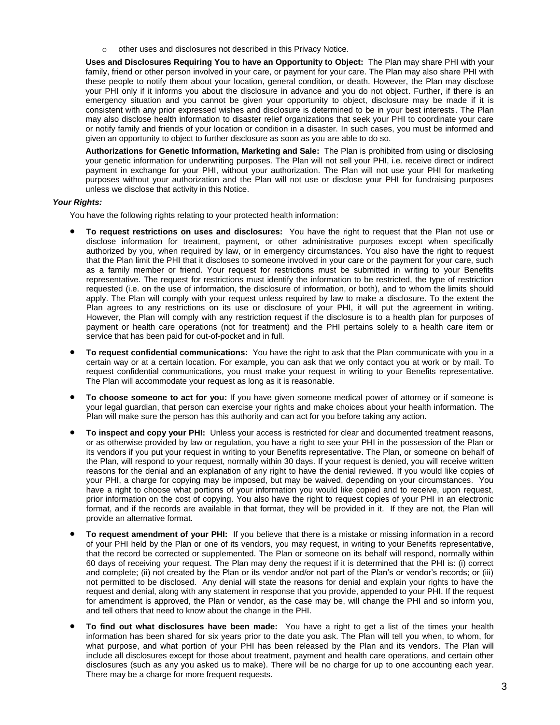o other uses and disclosures not described in this Privacy Notice.

**Uses and Disclosures Requiring You to have an Opportunity to Object:** The Plan may share PHI with your family, friend or other person involved in your care, or payment for your care. The Plan may also share PHI with these people to notify them about your location, general condition, or death. However, the Plan may disclose your PHI only if it informs you about the disclosure in advance and you do not object. Further, if there is an emergency situation and you cannot be given your opportunity to object, disclosure may be made if it is consistent with any prior expressed wishes and disclosure is determined to be in your best interests. The Plan may also disclose health information to disaster relief organizations that seek your PHI to coordinate your care or notify family and friends of your location or condition in a disaster. In such cases, you must be informed and given an opportunity to object to further disclosure as soon as you are able to do so.

**Authorizations for Genetic Information, Marketing and Sale:** The Plan is prohibited from using or disclosing your genetic information for underwriting purposes. The Plan will not sell your PHI, i.e. receive direct or indirect payment in exchange for your PHI, without your authorization. The Plan will not use your PHI for marketing purposes without your authorization and the Plan will not use or disclose your PHI for fundraising purposes unless we disclose that activity in this Notice.

## *Your Rights:*

You have the following rights relating to your protected health information:

- **To request restrictions on uses and disclosures:** You have the right to request that the Plan not use or disclose information for treatment, payment, or other administrative purposes except when specifically authorized by you, when required by law, or in emergency circumstances. You also have the right to request that the Plan limit the PHI that it discloses to someone involved in your care or the payment for your care, such as a family member or friend. Your request for restrictions must be submitted in writing to your Benefits representative. The request for restrictions must identify the information to be restricted, the type of restriction requested (i.e. on the use of information, the disclosure of information, or both), and to whom the limits should apply. The Plan will comply with your request unless required by law to make a disclosure. To the extent the Plan agrees to any restrictions on its use or disclosure of your PHI, it will put the agreement in writing. However, the Plan will comply with any restriction request if the disclosure is to a health plan for purposes of payment or health care operations (not for treatment) and the PHI pertains solely to a health care item or service that has been paid for out-of-pocket and in full.
- **To request confidential communications:** You have the right to ask that the Plan communicate with you in a certain way or at a certain location. For example, you can ask that we only contact you at work or by mail. To request confidential communications, you must make your request in writing to your Benefits representative. The Plan will accommodate your request as long as it is reasonable.
- **To choose someone to act for you:** If you have given someone medical power of attorney or if someone is your legal guardian, that person can exercise your rights and make choices about your health information. The Plan will make sure the person has this authority and can act for you before taking any action.
- **To inspect and copy your PHI:** Unless your access is restricted for clear and documented treatment reasons, or as otherwise provided by law or regulation, you have a right to see your PHI in the possession of the Plan or its vendors if you put your request in writing to your Benefits representative. The Plan, or someone on behalf of the Plan, will respond to your request, normally within 30 days. If your request is denied, you will receive written reasons for the denial and an explanation of any right to have the denial reviewed. If you would like copies of your PHI, a charge for copying may be imposed, but may be waived, depending on your circumstances. You have a right to choose what portions of your information you would like copied and to receive, upon request, prior information on the cost of copying. You also have the right to request copies of your PHI in an electronic format, and if the records are available in that format, they will be provided in it. If they are not, the Plan will provide an alternative format.
- **To request amendment of your PHI:** If you believe that there is a mistake or missing information in a record of your PHI held by the Plan or one of its vendors, you may request, in writing to your Benefits representative, that the record be corrected or supplemented. The Plan or someone on its behalf will respond, normally within 60 days of receiving your request. The Plan may deny the request if it is determined that the PHI is: (i) correct and complete; (ii) not created by the Plan or its vendor and/or not part of the Plan's or vendor's records; or (iii) not permitted to be disclosed. Any denial will state the reasons for denial and explain your rights to have the request and denial, along with any statement in response that you provide, appended to your PHI. If the request for amendment is approved, the Plan or vendor, as the case may be, will change the PHI and so inform you, and tell others that need to know about the change in the PHI.
- **To find out what disclosures have been made:** You have a right to get a list of the times your health information has been shared for six years prior to the date you ask. The Plan will tell you when, to whom, for what purpose, and what portion of your PHI has been released by the Plan and its vendors. The Plan will include all disclosures except for those about treatment, payment and health care operations, and certain other disclosures (such as any you asked us to make). There will be no charge for up to one accounting each year. There may be a charge for more frequent requests.